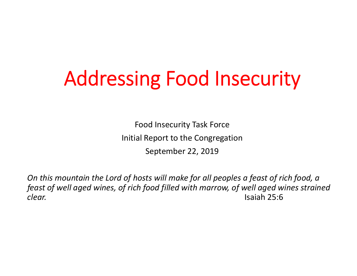# Addressing Food Insecurity

Food Insecurity Task Force Initial Report to the Congregation September 22, 2019

*On this mountain the Lord of hosts will make for all peoples <sup>a</sup> feast of rich food, <sup>a</sup> feast of well aged wines, of rich food filled with marrow, of well aged wines strained clear.* Isaiah**Isaiah 25:6**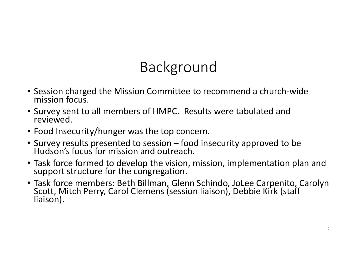### Background

- Session charged the Mission Committee to recommend <sup>a</sup> church‐wide mission focus.
- Survey sent to all members of HMPC. Results were tabulated and reviewed.
- Food Insecurity/hunger was the top concern.
- Survey results presented to session food insecurity approved to be Hudson's focus for mission and outreach.
- Task force formed to develop the vision, mission, implementation plan and support structure for the congregation.
- Task force members: Beth Billman, Glenn Schindo, JoLee Carpenito, Carolyn Scott, Mitch Perry, Carol Clemens (session liaison), Debbie Kirk (staff liaison).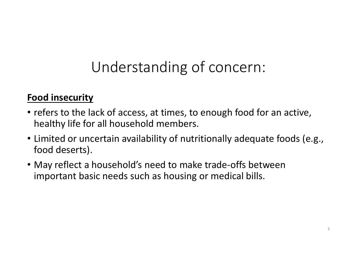## Understanding of concern:

### **Food insecurity**

- refers to the lack of access, at times, to enough food for an active, healthy life for all household members.
- Limited or uncertain availability of nutritionally adequate foods (e.g., food deserts).
- May reflect <sup>a</sup> household's need to make trade‐offs between important basic needs such as housing or medical bills.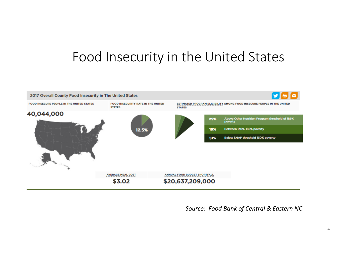### Food Insecurity in the United States



*Source: Food Bank of Central & Eastern NC*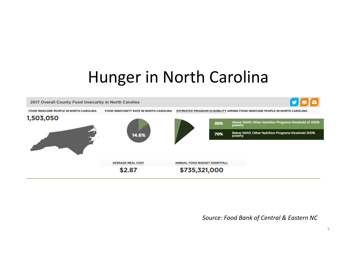## Hunger in North Carolina



*Source: Food Bank of Central & Eastern NC*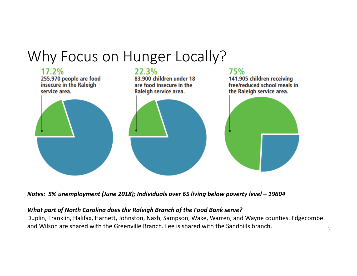### Why Focus on Hunger Locally?



*Notes: 5% unemployment (June 2018); Individuals over 65 living below poverty level – 19604*

#### *What part of North Carolina does the Raleigh Branch of the Food Bank serve?*

Duplin, Franklin, Halifax, Harnett, Johnston, Nash, Sampson, Wake, Warren, and Wayne counties. Edgecombe and Wilson are shared with the Greenville Branch. Lee is shared with the Sandhills branch.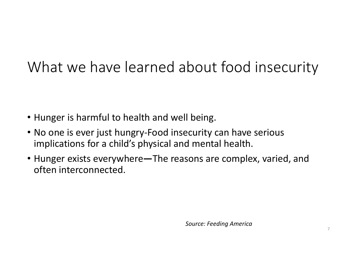### What we have learned about food insecurity

- Hunger is harmful to health and well being.
- No one is ever just hungry‐Food insecurity can have serious implications for <sup>a</sup> child's physical and mental health.
- Hunger exists everywhere**—**The reasons are complex, varied, and often interconnected.

*Source: Feeding America*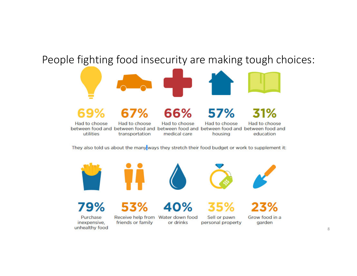### People fighting food insecurity are making tough choices:



between food and between food and between food and between food and between food and utilities medical care housing transportation education

They also told us about the many ways they stretch their food budget or work to supplement it:











79%

Purchase inexpensive, unhealthy food

### 40%

Receive help from Water down food friends or family or drinks

Sell or pawn personal property



garden

8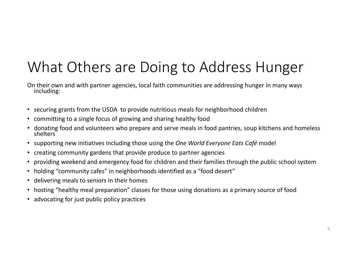### What Others are Doing to Address Hunger

On their own and with partner agencies, local faith communities are addressing hunger in many ways<br>including:

- securing grants from the USDA to provide nutritious meals for neighborhood children
- committing to <sup>a</sup> single focus of growing and sharing healthy food
- •donating food and volunteers who prepare and serve meals in food pantries, soup kitchens and homeless shelters
- supporting new initiatives including those using the *One World Everyone Eats Café* model
- •creating community gardens that provide produce to partner agencies
- •providing weekend and emergency food for children and their families through the public school system
- holding "community cafes" in neighborhoods identified as <sup>a</sup> "food desert"
- delivering meals to seniors in their homes
- •hosting "healthy meal preparation" classes for those using donations as <sup>a</sup> primary source of food
- advocating for just public policy practices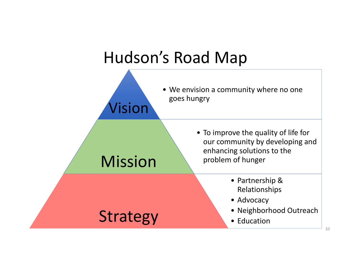

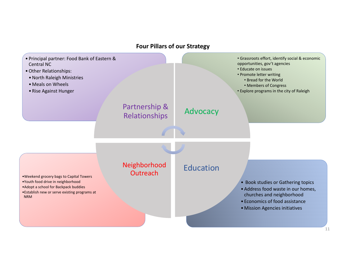#### **Four Pillars of our Strategy**

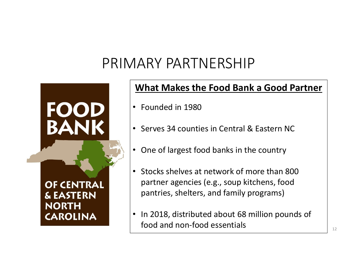### PRIMARY PARTNERSHIP



#### **What Makes the Food Bank <sup>a</sup> Good Partner**

- Founded in 1980
- Serves 34 counties in Central & Eastern NC
- One of largest food banks in the country
- Stocks shelves at network of more than 800 partner agencies (e.g., soup kitchens, food pantries, shelters, and family programs)
- $\bullet$ • In 2018, distributed about 68 million pounds of food and non‐food essentials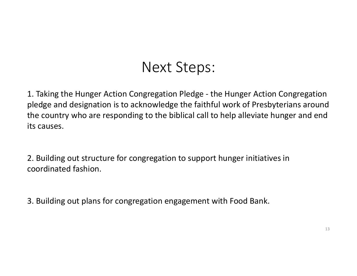### Next Steps:

1. Taking the Hunger Action Congregation Pledge ‐ the Hunger Action Congregation pledge and designation is to acknowledge the faithful work of Presbyterians around the country who are responding to the biblical call to help alleviate hunger and end its causes.

2. Building out structure for congregation to support hunger initiatives in coordinated fashion.

3. Building out plans for congregation engagement with Food Bank.